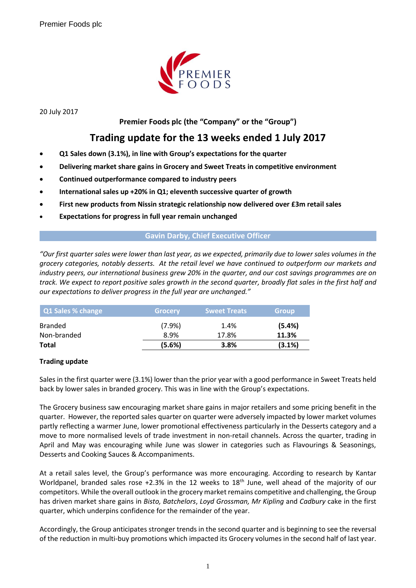

20 July 2017

## **Premier Foods plc (the "Company" or the "Group")**

# **Trading update for the 13 weeks ended 1 July 2017**

- **Q1 Sales down (3.1%), in line with Group's expectations for the quarter**
- **Delivering market share gains in Grocery and Sweet Treats in competitive environment**
- **Continued outperformance compared to industry peers**
- **International sales up +20% in Q1; eleventh successive quarter of growth**
- **First new products from Nissin strategic relationship now delivered over £3m retail sales**
- **Expectations for progress in full year remain unchanged**

#### **Gavin Darby, Chief Executive Officer**

*"Our first quarter sales were lower than last year, as we expected, primarily due to lower sales volumes in the grocery categories, notably desserts. At the retail level we have continued to outperform our markets and industry peers, our international business grew 20% in the quarter, and our cost savings programmes are on track. We expect to report positive sales growth in the second quarter, broadly flat sales in the first half and our expectations to deliver progress in the full year are unchanged."*

| Q1 Sales % change | <b>Grocery</b> | <b>Sweet Treats</b> | <b>Group</b> |
|-------------------|----------------|---------------------|--------------|
| <b>Branded</b>    | (7.9%)         | 1.4%                | (5.4%)       |
| Non-branded       | 8.9%           | 17.8%               | 11.3%        |
| <b>Total</b>      | (5.6%)         | 3.8%                | (3.1%)       |

## **Trading update**

Sales in the first quarter were (3.1%) lower than the prior year with a good performance in Sweet Treats held back by lower sales in branded grocery. This was in line with the Group's expectations.

The Grocery business saw encouraging market share gains in major retailers and some pricing benefit in the quarter. However, the reported sales quarter on quarter were adversely impacted by lower market volumes partly reflecting a warmer June, lower promotional effectiveness particularly in the Desserts category and a move to more normalised levels of trade investment in non-retail channels. Across the quarter, trading in April and May was encouraging while June was slower in categories such as Flavourings & Seasonings, Desserts and Cooking Sauces & Accompaniments.

At a retail sales level, the Group's performance was more encouraging. According to research by Kantar Worldpanel, branded sales rose +2.3% in the 12 weeks to 18<sup>th</sup> June, well ahead of the majority of our competitors. While the overall outlook in the grocery market remains competitive and challenging, the Group has driven market share gains in *Bisto, Batchelors*, *Loyd Grossman, Mr Kipling* and *Cadbury* cake in the first quarter, which underpins confidence for the remainder of the year.

Accordingly, the Group anticipates stronger trends in the second quarter and is beginning to see the reversal of the reduction in multi-buy promotions which impacted its Grocery volumes in the second half of last year.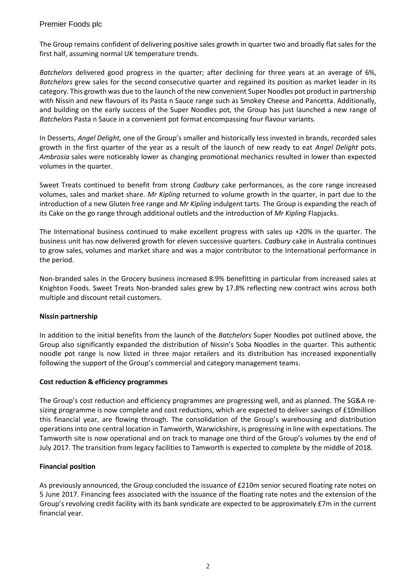## Premier Foods plc

The Group remains confident of delivering positive sales growth in quarter two and broadly flat sales for the first half, assuming normal UK temperature trends.

*Batchelors* delivered good progress in the quarter; after declining for three years at an average of 6%, *Batchelors* grew sales for the second consecutive quarter and regained its position as market leader in its category. This growth was due to the launch of the new convenient Super Noodles pot product in partnership with Nissin and new flavours of its Pasta n Sauce range such as Smokey Cheese and Pancetta. Additionally, and building on the early success of the Super Noodles pot, the Group has just launched a new range of *Batchelors* Pasta n Sauce in a convenient pot format encompassing four flavour variants.

In Desserts, *Angel Delight,* one of the Group's smaller and historically less invested in brands, recorded sales growth in the first quarter of the year as a result of the launch of new ready to eat *Angel Delight* pots. *Ambrosia* sales were noticeably lower as changing promotional mechanics resulted in lower than expected volumes in the quarter.

Sweet Treats continued to benefit from strong *Cadbury* cake performances, as the core range increased volumes, sales and market share. *Mr Kipling* returned to volume growth in the quarter, in part due to the introduction of a new Gluten free range and *Mr Kipling* indulgent tarts. The Group is expanding the reach of its Cake on the go range through additional outlets and the introduction of *Mr Kipling* Flapjacks.

The International business continued to make excellent progress with sales up +20% in the quarter. The business unit has now delivered growth for eleven successive quarters. *Cadbury* cake in Australia continues to grow sales, volumes and market share and was a major contributor to the International performance in the period.

Non-branded sales in the Grocery business increased 8.9% benefitting in particular from increased sales at Knighton Foods. Sweet Treats Non-branded sales grew by 17.8% reflecting new contract wins across both multiple and discount retail customers.

## **Nissin partnership**

In addition to the initial benefits from the launch of the *Batchelors* Super Noodles pot outlined above, the Group also significantly expanded the distribution of Nissin's Soba Noodles in the quarter. This authentic noodle pot range is now listed in three major retailers and its distribution has increased exponentially following the support of the Group's commercial and category management teams.

#### **Cost reduction & efficiency programmes**

The Group's cost reduction and efficiency programmes are progressing well, and as planned. The SG&A resizing programme is now complete and cost reductions, which are expected to deliver savings of £10million this financial year, are flowing through. The consolidation of the Group's warehousing and distribution operations into one central location in Tamworth, Warwickshire, is progressing in line with expectations. The Tamworth site is now operational and on track to manage one third of the Group's volumes by the end of July 2017. The transition from legacy facilities to Tamworth is expected to complete by the middle of 2018.

## **Financial position**

As previously announced, the Group concluded the issuance of £210m senior secured floating rate notes on 5 June 2017. Financing fees associated with the issuance of the floating rate notes and the extension of the Group's revolving credit facility with its bank syndicate are expected to be approximately £7m in the current financial year.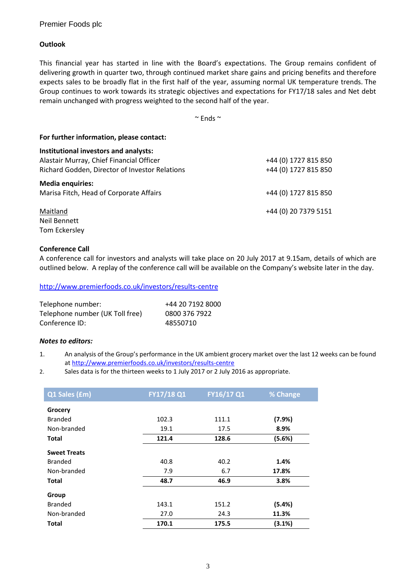## Premier Foods plc

#### **Outlook**

This financial year has started in line with the Board's expectations. The Group remains confident of delivering growth in quarter two, through continued market share gains and pricing benefits and therefore expects sales to be broadly flat in the first half of the year, assuming normal UK temperature trends. The Group continues to work towards its strategic objectives and expectations for FY17/18 sales and Net debt remain unchanged with progress weighted to the second half of the year.

 $\sim$  Ends  $\sim$ 

| For further information, please contact:       |                      |  |
|------------------------------------------------|----------------------|--|
| Institutional investors and analysts:          |                      |  |
| Alastair Murray, Chief Financial Officer       | +44 (0) 1727 815 850 |  |
| Richard Godden, Director of Investor Relations | +44 (0) 1727 815 850 |  |
| <b>Media enquiries:</b>                        |                      |  |
| Marisa Fitch, Head of Corporate Affairs        | +44 (0) 1727 815 850 |  |
| Maitland                                       | +44 (0) 20 7379 5151 |  |
| Neil Bennett                                   |                      |  |
| Tom Eckersley                                  |                      |  |

#### **Conference Call**

A conference call for investors and analysts will take place on 20 July 2017 at 9.15am, details of which are outlined below. A replay of the conference call will be available on the Company's website later in the day.

<http://www.premierfoods.co.uk/investors/results-centre>

| Telephone number:               | +44 20 7192 8000 |
|---------------------------------|------------------|
| Telephone number (UK Toll free) | 0800 376 7922    |
| Conference ID:                  | 48550710         |

#### *Notes to editors:*

- 1. An analysis of the Group's performance in the UK ambient grocery market over the last 12 weeks can be found at<http://www.premierfoods.co.uk/investors/results-centre>
- 2. Sales data is for the thirteen weeks to 1 July 2017 or 2 July 2016 as appropriate.

| Q1 Sales (£m)       | FY17/18 Q1 | FY16/17 Q1 | % Change |
|---------------------|------------|------------|----------|
| Grocery             |            |            |          |
| <b>Branded</b>      | 102.3      | 111.1      | (7.9%)   |
| Non-branded         | 19.1       | 17.5       | 8.9%     |
| <b>Total</b>        | 121.4      | 128.6      | (5.6%)   |
| <b>Sweet Treats</b> |            |            |          |
| <b>Branded</b>      | 40.8       | 40.2       | 1.4%     |
| Non-branded         | 7.9        | 6.7        | 17.8%    |
| <b>Total</b>        | 48.7       | 46.9       | 3.8%     |
| Group               |            |            |          |
| <b>Branded</b>      | 143.1      | 151.2      | (5.4%)   |
| Non-branded         | 27.0       | 24.3       | 11.3%    |
| <b>Total</b>        | 170.1      | 175.5      | (3.1%)   |